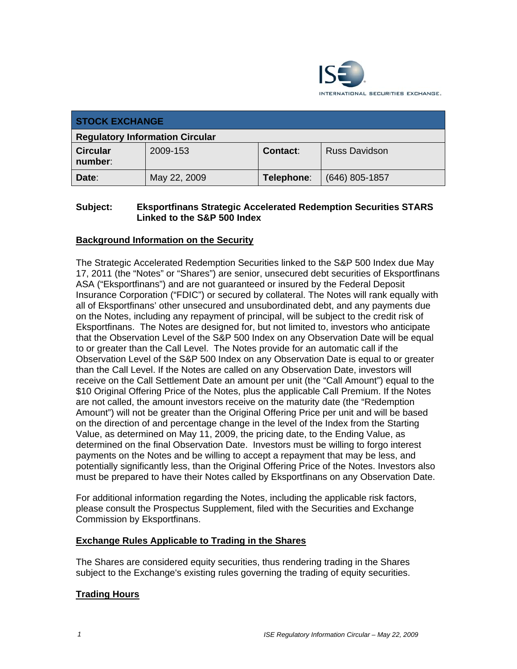

| <b>STOCK EXCHANGE</b>                  |              |            |                      |
|----------------------------------------|--------------|------------|----------------------|
| <b>Regulatory Information Circular</b> |              |            |                      |
| <b>Circular</b><br>number:             | 2009-153     | Contact:   | <b>Russ Davidson</b> |
| Date:                                  | May 22, 2009 | Telephone: | $(646)$ 805-1857     |

### **Subject: Eksportfinans Strategic Accelerated Redemption Securities STARS Linked to the S&P 500 Index**

## **Background Information on the Security**

The Strategic Accelerated Redemption Securities linked to the S&P 500 Index due May 17, 2011 (the "Notes" or "Shares") are senior, unsecured debt securities of Eksportfinans ASA ("Eksportfinans") and are not guaranteed or insured by the Federal Deposit Insurance Corporation ("FDIC") or secured by collateral. The Notes will rank equally with all of Eksportfinans' other unsecured and unsubordinated debt, and any payments due on the Notes, including any repayment of principal, will be subject to the credit risk of Eksportfinans. The Notes are designed for, but not limited to, investors who anticipate that the Observation Level of the S&P 500 Index on any Observation Date will be equal to or greater than the Call Level. The Notes provide for an automatic call if the Observation Level of the S&P 500 Index on any Observation Date is equal to or greater than the Call Level. If the Notes are called on any Observation Date, investors will receive on the Call Settlement Date an amount per unit (the "Call Amount") equal to the \$10 Original Offering Price of the Notes, plus the applicable Call Premium. If the Notes are not called, the amount investors receive on the maturity date (the "Redemption Amount") will not be greater than the Original Offering Price per unit and will be based on the direction of and percentage change in the level of the Index from the Starting Value, as determined on May 11, 2009, the pricing date, to the Ending Value, as determined on the final Observation Date. Investors must be willing to forgo interest payments on the Notes and be willing to accept a repayment that may be less, and potentially significantly less, than the Original Offering Price of the Notes. Investors also must be prepared to have their Notes called by Eksportfinans on any Observation Date.

For additional information regarding the Notes, including the applicable risk factors, please consult the Prospectus Supplement, filed with the Securities and Exchange Commission by Eksportfinans.

### **Exchange Rules Applicable to Trading in the Shares**

The Shares are considered equity securities, thus rendering trading in the Shares subject to the Exchange's existing rules governing the trading of equity securities.

### **Trading Hours**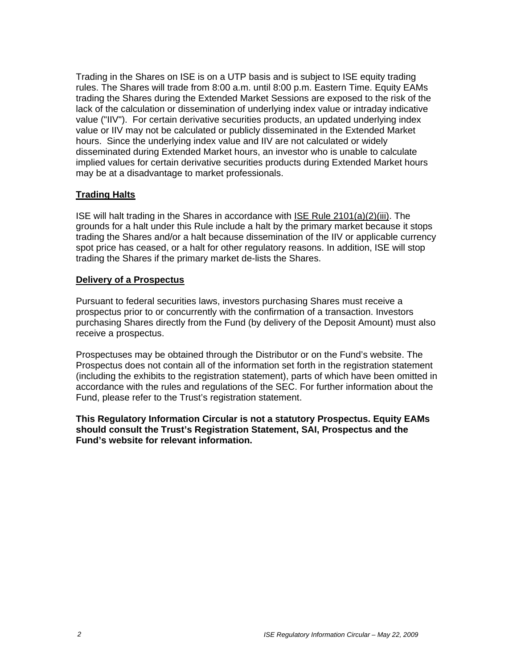Trading in the Shares on ISE is on a UTP basis and is subject to ISE equity trading rules. The Shares will trade from 8:00 a.m. until 8:00 p.m. Eastern Time. Equity EAMs trading the Shares during the Extended Market Sessions are exposed to the risk of the lack of the calculation or dissemination of underlying index value or intraday indicative value ("IIV"). For certain derivative securities products, an updated underlying index value or IIV may not be calculated or publicly disseminated in the Extended Market hours. Since the underlying index value and IIV are not calculated or widely disseminated during Extended Market hours, an investor who is unable to calculate implied values for certain derivative securities products during Extended Market hours may be at a disadvantage to market professionals.

## **Trading Halts**

ISE will halt trading in the Shares in accordance with ISE Rule 2101(a)(2)(iii). The grounds for a halt under this Rule include a halt by the primary market because it stops trading the Shares and/or a halt because dissemination of the IIV or applicable currency spot price has ceased, or a halt for other regulatory reasons. In addition, ISE will stop trading the Shares if the primary market de-lists the Shares.

#### **Delivery of a Prospectus**

Pursuant to federal securities laws, investors purchasing Shares must receive a prospectus prior to or concurrently with the confirmation of a transaction. Investors purchasing Shares directly from the Fund (by delivery of the Deposit Amount) must also receive a prospectus.

Prospectuses may be obtained through the Distributor or on the Fund's website. The Prospectus does not contain all of the information set forth in the registration statement (including the exhibits to the registration statement), parts of which have been omitted in accordance with the rules and regulations of the SEC. For further information about the Fund, please refer to the Trust's registration statement.

**This Regulatory Information Circular is not a statutory Prospectus. Equity EAMs should consult the Trust's Registration Statement, SAI, Prospectus and the Fund's website for relevant information.**